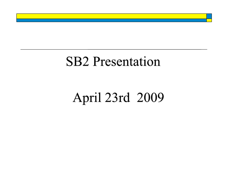## **SB2** Presentation

# April 23rd 2009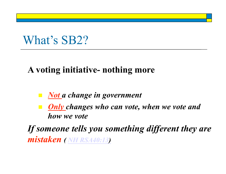## What's **SB2?**

### **A voting initiative- nothing more**

- *Not a change in government*
- *Only changes who can vote, when we vote and how we vote*

*If someone tells you something different they are mistaken ( NH RSA40:13)*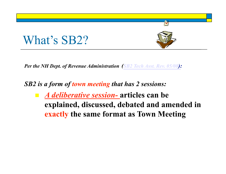## What's SB2?

*Per the NH Dept. of Revenue Administration (SB2 Tech Asst. Rev. 05/08):* 

*SB2 is a form of town meeting that has 2 sessions:* 

 *A deliberative session-* **articles can be explained, discussed, debated and amended in exactly the same format as Town Meeting** 

Ø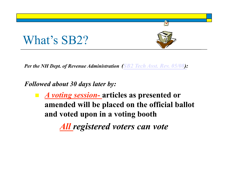

*Per the NH Dept. of Revenue Administration (SB2 Tech Asst. Rev. 05/08):* 

*Followed about 30 days later by:* 

 *A voting session-* **articles as presented or amended will be placed on the official ballot and voted upon in a voting booth** 

*All registered voters can vote*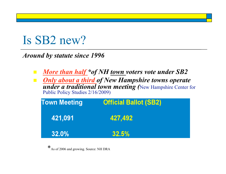## Is SB2 new?

*Around by statute since 1996* 

- *More than half \*of NH town voters vote under SB2*
- *Only about a third of New Hampshire towns operate under a traditional town meeting (*New Hampshire Center for Public Policy Studies 2/16/2009)

| <b>Town Meeting</b> | <b>Official Ballot (SB2)</b> |  |
|---------------------|------------------------------|--|
| 421,091             | 427,492                      |  |
| 32.0%               | 32.5%                        |  |

\*As of 2006 and growing. Source: NH DRA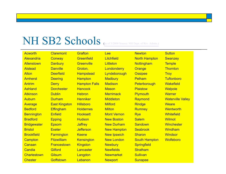### NH SB2 Schools (as of 3/2009 Source: NH Dept. of Rev. Admin.)

| <b>Acworth</b>     | <b>Claremont</b>     | <b>Grafton</b>       | <b>Lee</b>         | <b>Newton</b>        | <b>Sutton</b>            |  |
|--------------------|----------------------|----------------------|--------------------|----------------------|--------------------------|--|
| Alexandria         | <b>Conway</b>        | Greenfield           | Litchfield         | <b>North Hampton</b> | <b>Swanzey</b>           |  |
| <b>Allenstown</b>  | <b>Danbury</b>       | <b>Greenville</b>    | <b>Littleton</b>   | Nottingham           | <b>Temple</b>            |  |
| <b>Alstead</b>     | <b>Danville</b>      | Groton,              | Londonderry        | Orange               | <b>Thornton</b>          |  |
| <b>Alton</b>       | <b>Deerfield</b>     | <b>Hampstead</b>     | Lyndeborough       | <b>Ossipee</b>       | <b>Troy</b>              |  |
| <b>Amherst</b>     | <b>Deering</b>       | <b>Hampton</b>       | <b>Madbury</b>     | <b>Pelham</b>        | <b>Tuftonboro</b>        |  |
| <b>Antrim</b>      | <b>Derry</b>         | <b>Hampton Falls</b> | <b>Madison</b>     | Peterborough         | <b>Wakefield</b>         |  |
| <b>Ashland</b>     | <b>Dorchester</b>    | <b>Hancock</b>       | <b>Mason</b>       | <b>Plaistow</b>      | <b>Walpole</b>           |  |
| <b>Atkinson</b>    | <b>Dublin</b>        | <b>Hebron</b>        | <b>Merrimack</b>   | <b>Plymouth</b>      | <b>Warner</b>            |  |
| <b>Auburn</b>      | <b>Durham</b>        | <b>Henniker</b>      | <b>Middleton</b>   | Raymond              | <b>Waterville Valley</b> |  |
| Average            | <b>East Kingston</b> | <b>Hillsboro</b>     | <b>Milford</b>     | <b>Rindge</b>        | <b>Weare</b>             |  |
| <b>Bedford</b>     | <b>Effingham</b>     | <b>Holdernes</b>     | <b>Milton</b>      | <b>Rumney</b>        | Wentworth                |  |
| <b>Bennington</b>  | <b>Enfield</b>       | <b>Hooksett</b>      | <b>Mont Vernon</b> | <b>Rye</b>           | <b>Whitefield</b>        |  |
| <b>Bradford</b>    | <b>Epping</b>        | <b>Hudson</b>        | <b>New Boston</b>  | <b>Salem</b>         | <b>Wilmot</b>            |  |
| <b>Bridgewater</b> | <b>Epsom</b>         | <b>Jaffrey</b>       | <b>New Durham</b>  | <b>Sandown</b>       | Winchester               |  |
| <b>Bristol</b>     | <b>Exeter</b>        | <b>Jefferson</b>     | <b>New Hampton</b> | <b>Seabrook</b>      | <b>Windham</b>           |  |
| <b>Brookfield</b>  | <b>Farmington</b>    | <b>Keene</b>         | <b>New Ipswich</b> | <b>Sharon</b>        | <b>Windsor</b>           |  |
| Campton            | <b>Fitzwilliam</b>   | <b>Kensington</b>    | <b>New London</b>  | <b>South Hampton</b> | <b>Wolfeboro</b>         |  |
| Canaan             | <b>Francestown</b>   | <b>Kingston</b>      | <b>Newbury</b>     | <b>Springfield</b>   |                          |  |
| Candia             | <b>Gilford</b>       | Lancaster            | <b>Newfields</b>   | <b>Stratham</b>      |                          |  |
| Charlestown        | <b>Gilsum</b>        | Langdon              | <b>Newmarket</b>   | <b>Sullivan</b>      |                          |  |
| <b>Chester</b>     | Goffstown            | Lebanon              | <b>Newport</b>     | <b>Sunapee</b>       |                          |  |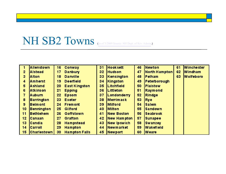### NH SB2 Towns (as of 3/2009 Source: NH Dept. of Rev. Admin.)

|                 | <b>Allenstown</b>  | 16              | <b>Conway</b>        | 31 | <b>Hook sett</b>   | 46 | <b>INewton</b>   | 61 | <b>Winchester</b> |
|-----------------|--------------------|-----------------|----------------------|----|--------------------|----|------------------|----|-------------------|
| $\overline{2}$  | <b>Alstead</b>     | 17              | <b>Danbury</b>       | 32 | <b>Hudson</b>      | 47 | North Hampton    | 62 | <b>Windham</b>    |
| $\mathbf{3}$    | <b>Alton</b>       | 18              | <b>Danville</b>      | 33 | <b>Kensington</b>  | 48 | <b>Pelham</b>    | 63 | <b>Wolfeboro</b>  |
| 4               | Amherst            | 19              | <b>Deerfield</b>     | 34 | <b>Kingston</b>    | 49 | Peterborough     |    |                   |
| 5               | <b>Ashland</b>     | 20              | <b>East Kingston</b> | 35 | <b>Litchfield</b>  | 50 | <b>Plaistow</b>  |    |                   |
| 6               | <b>Atkinson</b>    | 21              | <b>Epping</b>        | 36 | Littleton          | 51 | <b>Raymond</b>   |    |                   |
|                 | <b>Auburn</b>      | $22 \,$         | <b>Epsom</b>         | 37 | <b>Londonderry</b> | 52 | Rindge           |    |                   |
| 8               | <b>Barrington</b>  | 23              | <b>Exeter</b>        | 38 | <b>Merrimack</b>   | 53 | <b>Rve</b>       |    |                   |
| 9               | <b>Belmont</b>     | 24              | <b>Fremont</b>       | 39 | <b>Milford</b>     | 54 | <b>Salem</b>     |    |                   |
| 10 <sub>1</sub> | Bennington         | 25 <sub>2</sub> | Gilford              | 40 | <b>Milton</b>      | 55 | <b>Sandown</b>   |    |                   |
| 11              | Bethlehem          | 26              | <b>Goffstown</b>     | 41 | <b>New Boston</b>  | 56 | <b>Seabrook</b>  |    |                   |
| 12 <sub>2</sub> | <b>Canaan</b>      | 27              | <b>Grafton</b>       | 42 | <b>New Hampton</b> | 57 | <b>Sunapee</b>   |    |                   |
| 13              | <b>ICandia</b>     | 28              | <b>Hampstead</b>     | 43 | <b>New Ipswich</b> | 58 | <b>Swanzey</b>   |    |                   |
| 14              | Carroll            | 29              | <b>Hampton</b>       | 44 | <b>Newmarket</b>   | 59 | <b>Wakefield</b> |    |                   |
| 15 <sub>1</sub> | <b>Charlestown</b> | 30              | <b>Hampton Falls</b> | 45 | <b>Newport</b>     | 60 | <b>Weare</b>     |    |                   |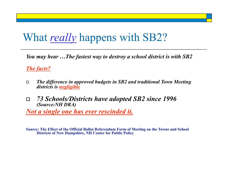## What *really* happens with SB2?

*You may hear …The fastest way to destroy a school district is with SB2* 

*The facts?* 

- *The difference in approved budgets in SB2 and traditional Town Meeting districts is negligible*
- *73 Schools/Districts have adopted SB2 since 1996 (Source:NH DRA)*

*Not a single one has ever rescinded it.* 

**Source: The Effect of the Official Ballot Referendum Form of Meeting on the Towns and School Districts of New Hampshire, NH Center for Public Policy**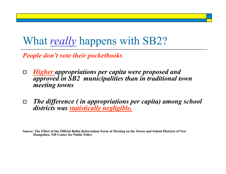### What *really* happens with SB2?

*People don't vote their pocketbooks* 

- *Higher appropriations per capita were proposed and approved in SB2 municipalities than in traditional town meeting towns*
- *The difference ( in appropriations per capita) among school districts was statistically negligible.*

**Source: The Effect of the Official Ballot Referendum Form of Meeting on the Towns and School Districts of New Hampshire, NH Center for Public Policy**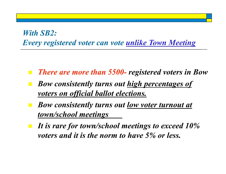#### *With SB2: Every registered voter can vote unlike Town Meeting*

- *There are more than 5500- registered voters in Bow*
- *Bow consistently turns out high percentages of voters on official ballot elections.*
- *Bow consistently turns out low voter turnout at town/school meetings*
- *It is rare for town/school meetings to exceed 10% voters and it is the norm to have 5% or less.*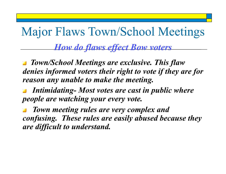## Major Flaws Town/School Meetings

#### *How do flaws effect Bow voters*

 *Town/School Meetings are exclusive. This flaw denies informed voters their right to vote if they are for reason any unable to make the meeting.* 

 *Intimidating- Most votes are cast in public where people are watching your every vote.* 

 *Town meeting rules are very complex and confusing. These rules are easily abused because they are difficult to understand.*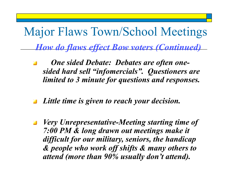Major Flaws Town/School Meetings

*How do flaws effect Bow voters (Continued)* 

- *One sided Debate: Debates are often onesided hard sell "infomercials". Questioners are limited to 3 minute for questions and responses.*
- *Little time is given to reach your decision.*
- *Very Unrepresentative-Meeting starting time of*   $\Delta \mathbf{r}$ *7:00 PM & long drawn out meetings make it difficult for our military, seniors, the handicap & people who work off shifts & many others to attend (more than 90% usually don't attend).*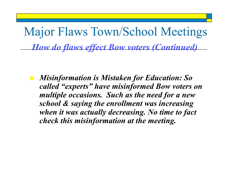Major Flaws Town/School Meetings *How do flaws effect Bow voters (Continued)* 

 *Misinformation is Mistaken for Education: So called "experts" have misinformed Bow voters on multiple occasions. Such as the need for a new school & saying the enrollment was increasing when it was actually decreasing. No time to fact check this misinformation at the meeting.*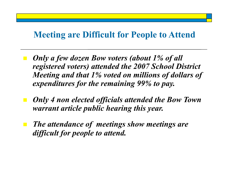#### **Meeting are Difficult for People to Attend**

- *Only a few dozen Bow voters (about 1% of all registered voters) attended the 2007 School District Meeting and that 1% voted on millions of dollars of expenditures for the remaining 99% to pay.*
- *Only 4 non elected officials attended the Bow Town warrant article public hearing this year.*
- *The attendance of meetings show meetings are difficult for people to attend.*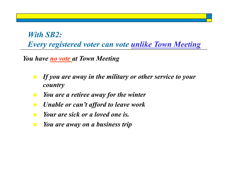*With SB2: Every registered voter can vote unlike Town Meeting* 

*You have no vote at Town Meeting* 

- *If you are away in the military or other service to your country*
- *You are a retiree away for the winter*
- *Unable or can't afford to leave work*
- *Your are sick or a loved one is.*
- *You are away on a business trip*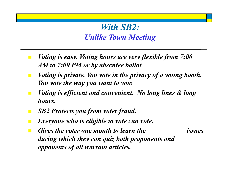#### *With SB2: Unlike Town Meeting*

- *Voting is easy. Voting hours are very flexible from 7:00 AM to 7:00 PM or by absentee ballot*
- *Voting is private. You vote in the privacy of a voting booth. You vote the way you want to vote*
- *Voting is efficient and convenient. No long lines & long hours.*
- *SB2 Protects you from voter fraud.*
- *Everyone who is eligible to vote can vote.*
- *Gives the voter one month to learn the issues during which they can quiz both proponents and opponents of all warrant articles.*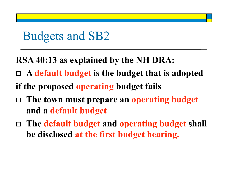**RSA 40:13 as explained by the NH DRA:** 

- **A default budget is the budget that is adopted**
- **if the proposed operating budget fails**
- **The town must prepare an operating budget and a default budget**
- **The default budget and operating budget shall be disclosed at the first budget hearing.**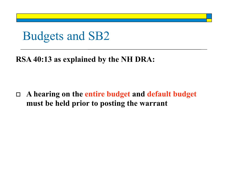#### **RSA 40:13 as explained by the NH DRA:**

 **A hearing on the entire budget and default budget must be held prior to posting the warrant**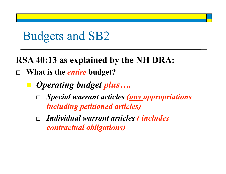### **RSA 40:13 as explained by the NH DRA:**

- **What is the** *entire* **budget?** 
	- *Operating budget plus….* 
		- *Special warrant articles (any appropriations including petitioned articles)*
		- *Individual warrant articles ( includes contractual obligations)*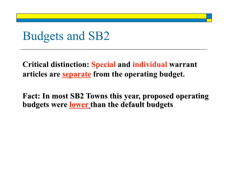Critical distinction: Special and individual warrant articles are separate from the operating budget.

Fact: In most SB2 Towns this year, proposed operating budgets were lower than the default budgets